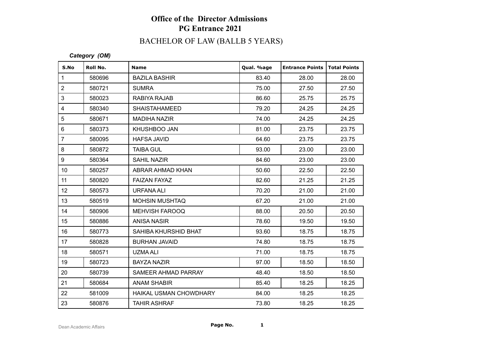# BACHELOR OF LAW (BALLB 5 YEARS)

| S.No             | Roll No. | <b>Name</b>            | Qual. %age | <b>Entrance Points</b> | <b>Total Points</b> |
|------------------|----------|------------------------|------------|------------------------|---------------------|
| $\mathbf{1}$     | 580696   | <b>BAZILA BASHIR</b>   | 83.40      | 28.00                  | 28.00               |
| $\overline{2}$   | 580721   | <b>SUMRA</b>           | 75.00      | 27.50                  | 27.50               |
| 3                | 580023   | RABIYA RAJAB           | 86.60      | 25.75                  | 25.75               |
| 4                | 580340   | <b>SHAISTAHAMEED</b>   | 79.20      | 24.25                  | 24.25               |
| 5                | 580671   | <b>MADIHA NAZIR</b>    | 74.00      | 24.25                  | 24.25               |
| 6                | 580373   | KHUSHBOO JAN           | 81.00      | 23.75                  | 23.75               |
| $\overline{7}$   | 580095   | <b>HAFSA JAVID</b>     | 64.60      | 23.75                  | 23.75               |
| $\bf 8$          | 580872   | <b>TAIBA GUL</b>       | 93.00      | 23.00                  | 23.00               |
| 9                | 580364   | <b>SAHIL NAZIR</b>     | 84.60      | 23.00                  | 23.00               |
| 10               | 580257   | ABRAR AHMAD KHAN       | 50.60      | 22.50                  | 22.50               |
| 11               | 580820   | <b>FAIZAN FAYAZ</b>    | 82.60      | 21.25                  | 21.25               |
| 12               | 580573   | <b>URFANA ALI</b>      | 70.20      | 21.00                  | 21.00               |
| 13               | 580519   | <b>MOHSIN MUSHTAQ</b>  | 67.20      | 21.00                  | 21.00               |
| 14               | 580906   | <b>MEHVISH FAROOQ</b>  | 88.00      | 20.50                  | 20.50               |
| 15 <sub>15</sub> | 580886   | <b>ANISA NASIR</b>     | 78.60      | 19.50                  | 19.50               |
| 16               | 580773   | SAHIBA KHURSHID BHAT   | 93.60      | 18.75                  | 18.75               |
| 17               | 580828   | <b>BURHAN JAVAID</b>   | 74.80      | 18.75                  | 18.75               |
| 18               | 580571   | <b>UZMA ALI</b>        | 71.00      | 18.75                  | 18.75               |
| 19               | 580723   | <b>BAYZA NAZIR</b>     | 97.00      | 18.50                  | 18.50               |
| 20               | 580739   | SAMEER AHMAD PARRAY    | 48.40      | 18.50                  | 18.50               |
| 21               | 580684   | <b>ANAM SHABIR</b>     | 85.40      | 18.25                  | 18.25               |
| 22               | 581009   | HAIKAL USMAN CHOWDHARY | 84.00      | 18.25                  | 18.25               |
| 23               | 580876   | <b>TAHIR ASHRAF</b>    | 73.80      | 18.25                  | 18.25               |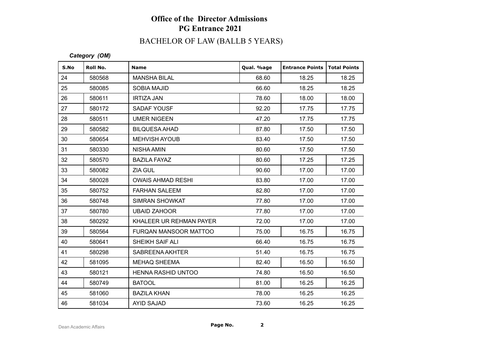# BACHELOR OF LAW (BALLB 5 YEARS)

| S.No | Roll No. | <b>Name</b>               | Qual. %age | <b>Entrance Points   Total Points</b> |       |
|------|----------|---------------------------|------------|---------------------------------------|-------|
| 24   | 580568   | <b>MANSHA BILAL</b>       | 68.60      | 18.25                                 | 18.25 |
| 25   | 580085   | <b>SOBIA MAJID</b>        | 66.60      | 18.25                                 | 18.25 |
| 26   | 580611   | <b>IRTIZA JAN</b>         | 78.60      | 18.00                                 | 18.00 |
| 27   | 580172   | SADAF YOUSF               | 92.20      | 17.75                                 | 17.75 |
| 28   | 580511   | <b>UMER NIGEEN</b>        | 47.20      | 17.75                                 | 17.75 |
| 29   | 580582   | <b>BILQUESA AHAD</b>      | 87.80      | 17.50                                 | 17.50 |
| 30   | 580654   | <b>MEHVISH AYOUB</b>      | 83.40      | 17.50                                 | 17.50 |
| 31   | 580330   | <b>NISHA AMIN</b>         | 80.60      | 17.50                                 | 17.50 |
| 32   | 580570   | <b>BAZILA FAYAZ</b>       | 80.60      | 17.25                                 | 17.25 |
| 33   | 580082   | ZIA GUL                   | 90.60      | 17.00                                 | 17.00 |
| 34   | 580028   | <b>OWAIS AHMAD RESHI</b>  | 83.80      | 17.00                                 | 17.00 |
| 35   | 580752   | <b>FARHAN SALEEM</b>      | 82.80      | 17.00                                 | 17.00 |
| 36   | 580748   | SIMRAN SHOWKAT            | 77.80      | 17.00                                 | 17.00 |
| 37   | 580780   | <b>UBAID ZAHOOR</b>       | 77.80      | 17.00                                 | 17.00 |
| 38   | 580292   | KHALEER UR REHMAN PAYER   | 72.00      | 17.00                                 | 17.00 |
| 39   | 580564   | FURQAN MANSOOR MATTOO     | 75.00      | 16.75                                 | 16.75 |
| 40   | 580641   | SHEIKH SAIF ALI           | 66.40      | 16.75                                 | 16.75 |
| 41   | 580298   | SABREENA AKHTER           | 51.40      | 16.75                                 | 16.75 |
| 42   | 581095   | <b>MEHAQ SHEEMA</b>       | 82.40      | 16.50                                 | 16.50 |
| 43   | 580121   | <b>HENNA RASHID UNTOO</b> | 74.80      | 16.50                                 | 16.50 |
| 44   | 580749   | <b>BATOOL</b>             | 81.00      | 16.25                                 | 16.25 |
| 45   | 581060   | <b>BAZILA KHAN</b>        | 78.00      | 16.25                                 | 16.25 |
| 46   | 581034   | <b>AYID SAJAD</b>         | 73.60      | 16.25                                 | 16.25 |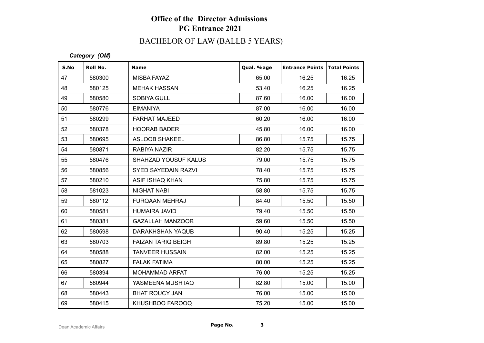# BACHELOR OF LAW (BALLB 5 YEARS)

| S.No | Roll No. | <b>Name</b>                 | Qual. %age | <b>Entrance Points</b> | <b>Total Points</b> |
|------|----------|-----------------------------|------------|------------------------|---------------------|
| 47   | 580300   | <b>MISBA FAYAZ</b>          | 65.00      | 16.25                  | 16.25               |
| 48   | 580125   | <b>MEHAK HASSAN</b>         | 53.40      | 16.25                  | 16.25               |
| 49   | 580580   | <b>SOBIYA GULL</b>          | 87.60      | 16.00                  | 16.00               |
| 50   | 580776   | <b>EIMANIYA</b>             | 87.00      | 16.00                  | 16.00               |
| 51   | 580299   | <b>FARHAT MAJEED</b>        | 60.20      | 16.00                  | 16.00               |
| 52   | 580378   | <b>HOORAB BADER</b>         | 45.80      | 16.00                  | 16.00               |
| 53   | 580695   | <b>ASLOOB SHAKEEL</b>       | 86.80      | 15.75                  | 15.75               |
| 54   | 580871   | RABIYA NAZIR                | 82.20      | 15.75                  | 15.75               |
| 55   | 580476   | <b>SHAHZAD YOUSUF KALUS</b> | 79.00      | 15.75                  | 15.75               |
| 56   | 580856   | SYED SAYEDAIN RAZVI         | 78.40      | 15.75                  | 15.75               |
| 57   | 580210   | ASIF ISHAQ KHAN             | 75.80      | 15.75                  | 15.75               |
| 58   | 581023   | <b>NIGHAT NABI</b>          | 58.80      | 15.75                  | 15.75               |
| 59   | 580112   | <b>FURQAAN MEHRAJ</b>       | 84.40      | 15.50                  | 15.50               |
| 60   | 580581   | <b>HUMAIRA JAVID</b>        | 79.40      | 15.50                  | 15.50               |
| 61   | 580381   | <b>GAZALLAH MANZOOR</b>     | 59.60      | 15.50                  | 15.50               |
| 62   | 580598   | <b>DARAKHSHAN YAQUB</b>     | 90.40      | 15.25                  | 15.25               |
| 63   | 580703   | <b>FAIZAN TARIQ BEIGH</b>   | 89.80      | 15.25                  | 15.25               |
| 64   | 580588   | <b>TANVEER HUSSAIN</b>      | 82.00      | 15.25                  | 15.25               |
| 65   | 580827   | <b>FALAK FATIMA</b>         | 80.00      | 15.25                  | 15.25               |
| 66   | 580394   | <b>MOHAMMAD ARFAT</b>       | 76.00      | 15.25                  | 15.25               |
| 67   | 580944   | YASMEENA MUSHTAQ            | 82.80      | 15.00                  | 15.00               |
| 68   | 580443   | <b>BHAT ROUCY JAN</b>       | 76.00      | 15.00                  | 15.00               |
| 69   | 580415   | KHUSHBOO FAROOQ             | 75.20      | 15.00                  | 15.00               |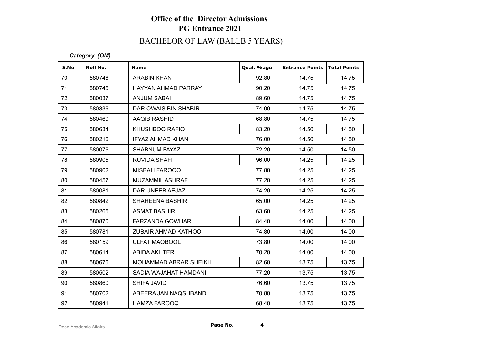# BACHELOR OF LAW (BALLB 5 YEARS)

| S.No | Roll No. | <b>Name</b>             | Qual. %age | <b>Entrance Points</b> | <b>Total Points</b> |
|------|----------|-------------------------|------------|------------------------|---------------------|
| 70   | 580746   | <b>ARABIN KHAN</b>      | 92.80      | 14.75                  | 14.75               |
| 71   | 580745   | HAYYAN AHMAD PARRAY     | 90.20      | 14.75                  | 14.75               |
| 72   | 580037   | <b>ANJUM SABAH</b>      | 89.60      | 14.75                  | 14.75               |
| 73   | 580336   | DAR OWAIS BIN SHABIR    | 74.00      | 14.75                  | 14.75               |
| 74   | 580460   | AAQIB RASHID            | 68.80      | 14.75                  | 14.75               |
| 75   | 580634   | KHUSHBOO RAFIQ          | 83.20      | 14.50                  | 14.50               |
| 76   | 580216   | <b>IFYAZ AHMAD KHAN</b> | 76.00      | 14.50                  | 14.50               |
| 77   | 580076   | SHABNUM FAYAZ           | 72.20      | 14.50                  | 14.50               |
| 78   | 580905   | <b>RUVIDA SHAFI</b>     | 96.00      | 14.25                  | 14.25               |
| 79   | 580902   | <b>MISBAH FAROOQ</b>    | 77.80      | 14.25                  | 14.25               |
| 80   | 580457   | <b>MUZAMMIL ASHRAF</b>  | 77.20      | 14.25                  | 14.25               |
| 81   | 580081   | DAR UNEEB AEJAZ         | 74.20      | 14.25                  | 14.25               |
| 82   | 580842   | <b>SHAHEENA BASHIR</b>  | 65.00      | 14.25                  | 14.25               |
| 83   | 580265   | <b>ASMAT BASHIR</b>     | 63.60      | 14.25                  | 14.25               |
| 84   | 580870   | <b>FARZANDA GOWHAR</b>  | 84.40      | 14.00                  | 14.00               |
| 85   | 580781   | ZUBAIR AHMAD KATHOO     | 74.80      | 14.00                  | 14.00               |
| 86   | 580159   | <b>ULFAT MAQBOOL</b>    | 73.80      | 14.00                  | 14.00               |
| 87   | 580614   | ABIDA AKHTER            | 70.20      | 14.00                  | 14.00               |
| 88   | 580676   | MOHAMMAD ABRAR SHEIKH   | 82.60      | 13.75                  | 13.75               |
| 89   | 580502   | SADIA WAJAHAT HAMDANI   | 77.20      | 13.75                  | 13.75               |
| 90   | 580860   | SHIFA JAVID             | 76.60      | 13.75                  | 13.75               |
| 91   | 580702   | ABEERA JAN NAQSHBANDI   | 70.80      | 13.75                  | 13.75               |
| 92   | 580941   | <b>HAMZA FAROOQ</b>     | 68.40      | 13.75                  | 13.75               |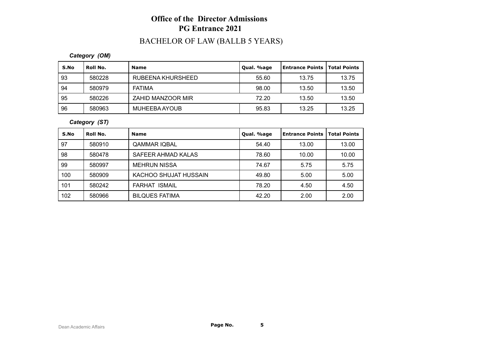# BACHELOR OF LAW (BALLB 5 YEARS)

*Category (OM)*

| S.No | Roll No. | <b>Name</b>       | Qual. %age | Entrance Points   Total Points |       |
|------|----------|-------------------|------------|--------------------------------|-------|
| 93   | 580228   | RUBEENA KHURSHEED | 55.60      | 13.75                          | 13.75 |
| 94   | 580979   | <b>FATIMA</b>     | 98.00      | 13.50                          | 13.50 |
| -95  | 580226   | ZAHID MANZOOR MIR | 72.20      | 13.50                          | 13.50 |
| 96   | 580963   | MUHEEBA AYOUB     | 95.83      | 13.25                          | 13.25 |

*Category (ST)*

| S.No | Roll No. | <b>Name</b>           | Qual. %age | l Entrance Points | <b>Total Points</b> |
|------|----------|-----------------------|------------|-------------------|---------------------|
| 97   | 580910   | <b>QAMMAR IQBAL</b>   | 54.40      | 13.00             | 13.00               |
| 98   | 580478   | SAFEER AHMAD KALAS    | 78.60      | 10.00             | 10.00               |
| 99   | 580997   | <b>MEHRUN NISSA</b>   | 74.67      | 5.75              | 5.75                |
| 100  | 580909   | KACHOO SHUJAT HUSSAIN | 49.80      | 5.00              | 5.00                |
| 101  | 580242   | <b>FARHAT ISMAIL</b>  | 78.20      | 4.50              | 4.50                |
| 102  | 580966   | <b>BILQUES FATIMA</b> | 42.20      | 2.00              | 2.00                |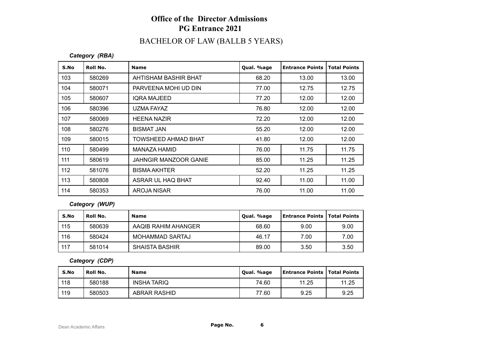#### BACHELOR OF LAW (BALLB 5 YEARS)

#### *Category (RBA)*

| S.No | Roll No. | <b>Name</b>                  | Qual. %age | <b>Entrance Points</b> | <b>Total Points</b> |
|------|----------|------------------------------|------------|------------------------|---------------------|
| 103  | 580269   | AHTISHAM BASHIR BHAT         | 68.20      | 13.00                  | 13.00               |
| 104  | 580071   | PARVEENA MOHI UD DIN         | 77.00      | 12.75                  | 12.75               |
| 105  | 580607   | <b>IQRA MAJEED</b>           | 77.20      | 12.00                  | 12.00               |
| 106  | 580396   | UZMA FAYAZ                   | 76.80      | 12.00                  | 12.00               |
| 107  | 580069   | <b>HEENA NAZIR</b>           | 72.20      | 12.00                  | 12.00               |
| 108  | 580276   | <b>BISMAT JAN</b>            | 55.20      | 12.00                  | 12.00               |
| 109  | 580015   | TOWSHEED AHMAD BHAT          | 41.80      | 12.00                  | 12.00               |
| 110  | 580499   | MANAZA HAMID                 | 76.00      | 11.75                  | 11.75               |
| 111  | 580619   | <b>JAHNGIR MANZOOR GANIE</b> | 85.00      | 11.25                  | 11.25               |
| 112  | 581076   | <b>BISMA AKHTER</b>          | 52.20      | 11.25                  | 11.25               |
| 113  | 580808   | ASRAR UL HAQ BHAT            | 92.40      | 11.00                  | 11.00               |
| 114  | 580353   | AROJA NISAR                  | 76.00      | 11.00                  | 11.00               |

#### *Category (WUP)*

| S.No | Roll No. | <b>Name</b>         | Qual. %age | <b>Entrance Points   Total Points</b> |      |
|------|----------|---------------------|------------|---------------------------------------|------|
| 115  | 580639   | AAQIB RAHIM AHANGER | 68.60      | 9.00                                  | 9.00 |
| 116  | 580424   | MOHAMMAD SARTAJ     | 46.17      | 7.00                                  | 7.00 |
| 117  | 581014   | SHAISTA BASHIR      | 89.00      | 3.50                                  | 3.50 |

*Category (CDP)*

| S.No | <b>Roll No.</b> | <b>Name</b>         | Qual. %age | <b>Entrance Points   Total Points</b> |       |
|------|-----------------|---------------------|------------|---------------------------------------|-------|
| 118  | 580188          | INSHA TARIQ         | 74.60      | 11.25                                 | 11.25 |
| 119  | 580503          | <b>ABRAR RASHID</b> | 77.60      | 9.25                                  | 9.25  |